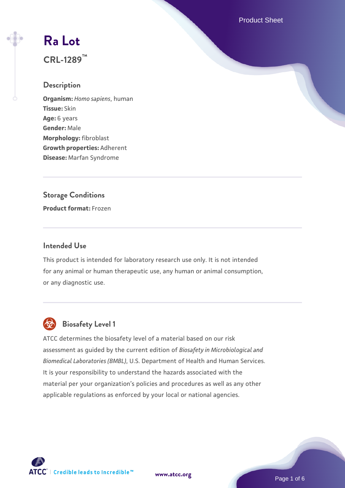Product Sheet

# **[Ra Lot](https://www.atcc.org/products/crl-1289)**

**CRL-1289™**

# **Description**

**Organism:** *Homo sapiens*, human **Tissue:** Skin **Age:** 6 years **Gender:** Male **Morphology:** fibroblast **Growth properties:** Adherent **Disease:** Marfan Syndrome

# **Storage Conditions**

**Product format:** Frozen

# **Intended Use**

This product is intended for laboratory research use only. It is not intended for any animal or human therapeutic use, any human or animal consumption, or any diagnostic use.



# **Biosafety Level 1**

ATCC determines the biosafety level of a material based on our risk assessment as guided by the current edition of *Biosafety in Microbiological and Biomedical Laboratories (BMBL)*, U.S. Department of Health and Human Services. It is your responsibility to understand the hazards associated with the material per your organization's policies and procedures as well as any other applicable regulations as enforced by your local or national agencies.

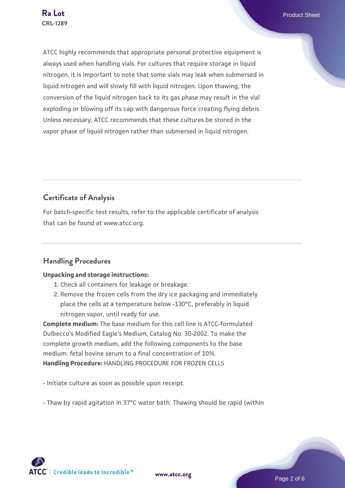ATCC highly recommends that appropriate personal protective equipment is always used when handling vials. For cultures that require storage in liquid nitrogen, it is important to note that some vials may leak when submersed in liquid nitrogen and will slowly fill with liquid nitrogen. Upon thawing, the conversion of the liquid nitrogen back to its gas phase may result in the vial exploding or blowing off its cap with dangerous force creating flying debris. Unless necessary, ATCC recommends that these cultures be stored in the vapor phase of liquid nitrogen rather than submersed in liquid nitrogen.

# **Certificate of Analysis**

For batch-specific test results, refer to the applicable certificate of analysis that can be found at www.atcc.org.

# **Handling Procedures**

## **Unpacking and storage instructions:**

- 1. Check all containers for leakage or breakage.
- 2. Remove the frozen cells from the dry ice packaging and immediately place the cells at a temperature below -130°C, preferably in liquid nitrogen vapor, until ready for use.

**Complete medium:** The base medium for this cell line is ATCC-formulated Dulbecco's Modified Eagle's Medium, Catalog No. 30-2002. To make the complete growth medium, add the following components to the base medium: fetal bovine serum to a final concentration of 10%. **Handling Procedure:** HANDLING PROCEDURE FOR FROZEN CELLS

- Initiate culture as soon as possible upon receipt.

- Thaw by rapid agitation in 37°C water bath. Thawing should be rapid (within

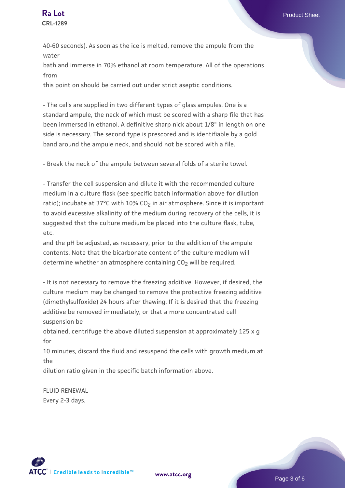40-60 seconds). As soon as the ice is melted, remove the ampule from the water

bath and immerse in 70% ethanol at room temperature. All of the operations from

this point on should be carried out under strict aseptic conditions.

- The cells are supplied in two different types of glass ampules. One is a standard ampule, the neck of which must be scored with a sharp file that has been immersed in ethanol. A definitive sharp nick about 1/8" in length on one side is necessary. The second type is prescored and is identifiable by a gold band around the ampule neck, and should not be scored with a file.

- Break the neck of the ampule between several folds of a sterile towel.

- Transfer the cell suspension and dilute it with the recommended culture medium in a culture flask (see specific batch information above for dilution ratio); incubate at 37°C with 10%  $CO<sub>2</sub>$  in air atmosphere. Since it is important to avoid excessive alkalinity of the medium during recovery of the cells, it is suggested that the culture medium be placed into the culture flask, tube, etc.

and the pH be adjusted, as necessary, prior to the addition of the ampule contents. Note that the bicarbonate content of the culture medium will determine whether an atmosphere containing CO<sub>2</sub> will be required.

- It is not necessary to remove the freezing additive. However, if desired, the culture medium may be changed to remove the protective freezing additive (dimethylsulfoxide) 24 hours after thawing. If it is desired that the freezing additive be removed immediately, or that a more concentrated cell suspension be

obtained, centrifuge the above diluted suspension at approximately 125 x g for

10 minutes, discard the fluid and resuspend the cells with growth medium at the

dilution ratio given in the specific batch information above.

FLUID RENEWAL Every 2-3 days.

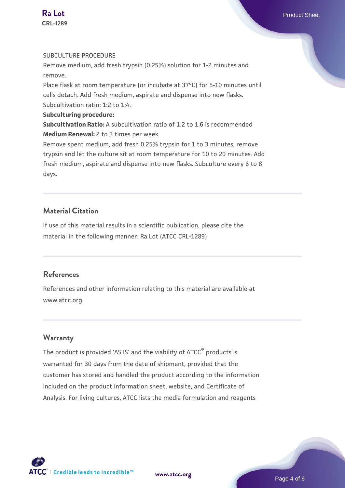#### SUBCULTURE PROCEDURE

Remove medium, add fresh trypsin (0.25%) solution for 1-2 minutes and remove.

Place flask at room temperature (or incubate at 37°C) for 5-10 minutes until cells detach. Add fresh medium, aspirate and dispense into new flasks. Subcultivation ratio: 1:2 to 1:4.

#### **Subculturing procedure:**

**Subcultivation Ratio:** A subcultivation ratio of 1:2 to 1:6 is recommended **Medium Renewal:** 2 to 3 times per week

Remove spent medium, add fresh 0.25% trypsin for 1 to 3 minutes, remove trypsin and let the culture sit at room temperature for 10 to 20 minutes. Add fresh medium, aspirate and dispense into new flasks. Subculture every 6 to 8 days.

# **Material Citation**

If use of this material results in a scientific publication, please cite the material in the following manner: Ra Lot (ATCC CRL-1289)

#### **References**

References and other information relating to this material are available at www.atcc.org.

## **Warranty**

The product is provided 'AS IS' and the viability of ATCC<sup>®</sup> products is warranted for 30 days from the date of shipment, provided that the customer has stored and handled the product according to the information included on the product information sheet, website, and Certificate of Analysis. For living cultures, ATCC lists the media formulation and reagents



**[www.atcc.org](http://www.atcc.org)**

Page 4 of 6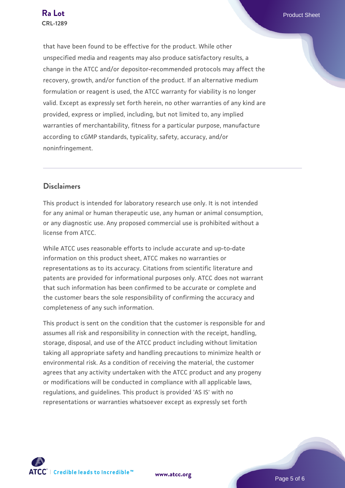that have been found to be effective for the product. While other unspecified media and reagents may also produce satisfactory results, a change in the ATCC and/or depositor-recommended protocols may affect the recovery, growth, and/or function of the product. If an alternative medium formulation or reagent is used, the ATCC warranty for viability is no longer valid. Except as expressly set forth herein, no other warranties of any kind are provided, express or implied, including, but not limited to, any implied warranties of merchantability, fitness for a particular purpose, manufacture according to cGMP standards, typicality, safety, accuracy, and/or noninfringement.

# **Disclaimers**

This product is intended for laboratory research use only. It is not intended for any animal or human therapeutic use, any human or animal consumption, or any diagnostic use. Any proposed commercial use is prohibited without a license from ATCC.

While ATCC uses reasonable efforts to include accurate and up-to-date information on this product sheet, ATCC makes no warranties or representations as to its accuracy. Citations from scientific literature and patents are provided for informational purposes only. ATCC does not warrant that such information has been confirmed to be accurate or complete and the customer bears the sole responsibility of confirming the accuracy and completeness of any such information.

This product is sent on the condition that the customer is responsible for and assumes all risk and responsibility in connection with the receipt, handling, storage, disposal, and use of the ATCC product including without limitation taking all appropriate safety and handling precautions to minimize health or environmental risk. As a condition of receiving the material, the customer agrees that any activity undertaken with the ATCC product and any progeny or modifications will be conducted in compliance with all applicable laws, regulations, and guidelines. This product is provided 'AS IS' with no representations or warranties whatsoever except as expressly set forth